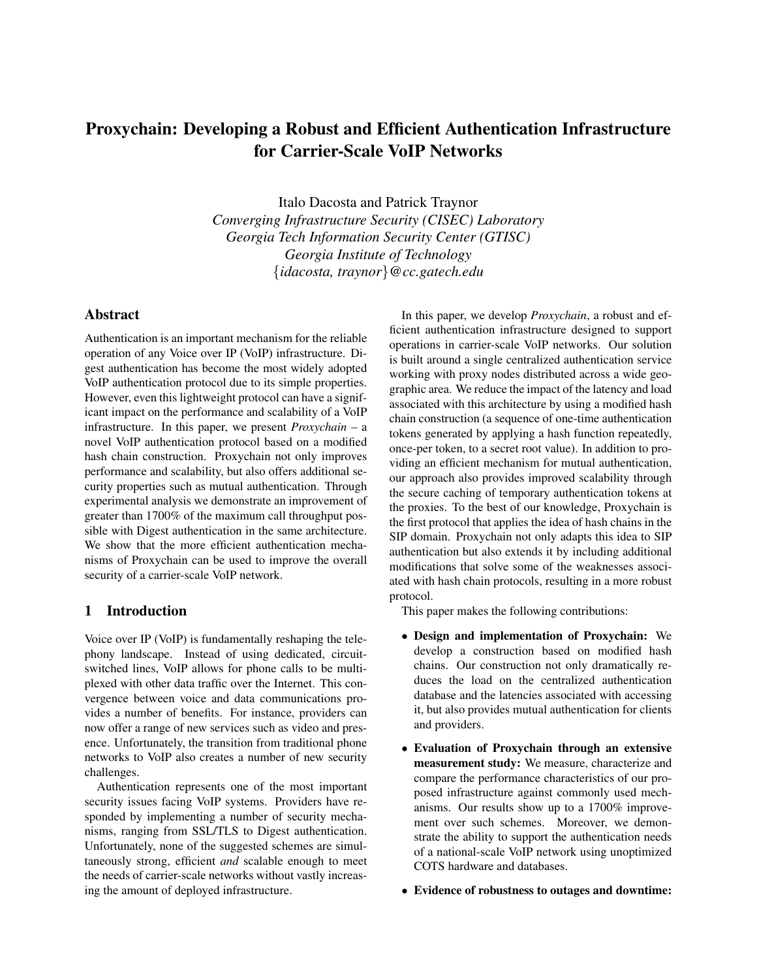# Proxychain: Developing a Robust and Efficient Authentication Infrastructure for Carrier-Scale VoIP Networks

Italo Dacosta and Patrick Traynor *Converging Infrastructure Security (CISEC) Laboratory Georgia Tech Information Security Center (GTISC) Georgia Institute of Technology* {*idacosta, traynor*}*@cc.gatech.edu*

## Abstract

Authentication is an important mechanism for the reliable operation of any Voice over IP (VoIP) infrastructure. Digest authentication has become the most widely adopted VoIP authentication protocol due to its simple properties. However, even this lightweight protocol can have a significant impact on the performance and scalability of a VoIP infrastructure. In this paper, we present *Proxychain* – a novel VoIP authentication protocol based on a modified hash chain construction. Proxychain not only improves performance and scalability, but also offers additional security properties such as mutual authentication. Through experimental analysis we demonstrate an improvement of greater than 1700% of the maximum call throughput possible with Digest authentication in the same architecture. We show that the more efficient authentication mechanisms of Proxychain can be used to improve the overall security of a carrier-scale VoIP network.

# 1 Introduction

Voice over IP (VoIP) is fundamentally reshaping the telephony landscape. Instead of using dedicated, circuitswitched lines, VoIP allows for phone calls to be multiplexed with other data traffic over the Internet. This convergence between voice and data communications provides a number of benefits. For instance, providers can now offer a range of new services such as video and presence. Unfortunately, the transition from traditional phone networks to VoIP also creates a number of new security challenges.

Authentication represents one of the most important security issues facing VoIP systems. Providers have responded by implementing a number of security mechanisms, ranging from SSL/TLS to Digest authentication. Unfortunately, none of the suggested schemes are simultaneously strong, efficient *and* scalable enough to meet the needs of carrier-scale networks without vastly increasing the amount of deployed infrastructure.

In this paper, we develop *Proxychain*, a robust and efficient authentication infrastructure designed to support operations in carrier-scale VoIP networks. Our solution is built around a single centralized authentication service working with proxy nodes distributed across a wide geographic area. We reduce the impact of the latency and load associated with this architecture by using a modified hash chain construction (a sequence of one-time authentication tokens generated by applying a hash function repeatedly, once-per token, to a secret root value). In addition to providing an efficient mechanism for mutual authentication, our approach also provides improved scalability through the secure caching of temporary authentication tokens at the proxies. To the best of our knowledge, Proxychain is the first protocol that applies the idea of hash chains in the SIP domain. Proxychain not only adapts this idea to SIP authentication but also extends it by including additional modifications that solve some of the weaknesses associated with hash chain protocols, resulting in a more robust protocol.

This paper makes the following contributions:

- Design and implementation of Proxychain: We develop a construction based on modified hash chains. Our construction not only dramatically reduces the load on the centralized authentication database and the latencies associated with accessing it, but also provides mutual authentication for clients and providers.
- Evaluation of Proxychain through an extensive measurement study: We measure, characterize and compare the performance characteristics of our proposed infrastructure against commonly used mechanisms. Our results show up to a 1700% improvement over such schemes. Moreover, we demonstrate the ability to support the authentication needs of a national-scale VoIP network using unoptimized COTS hardware and databases.
- Evidence of robustness to outages and downtime: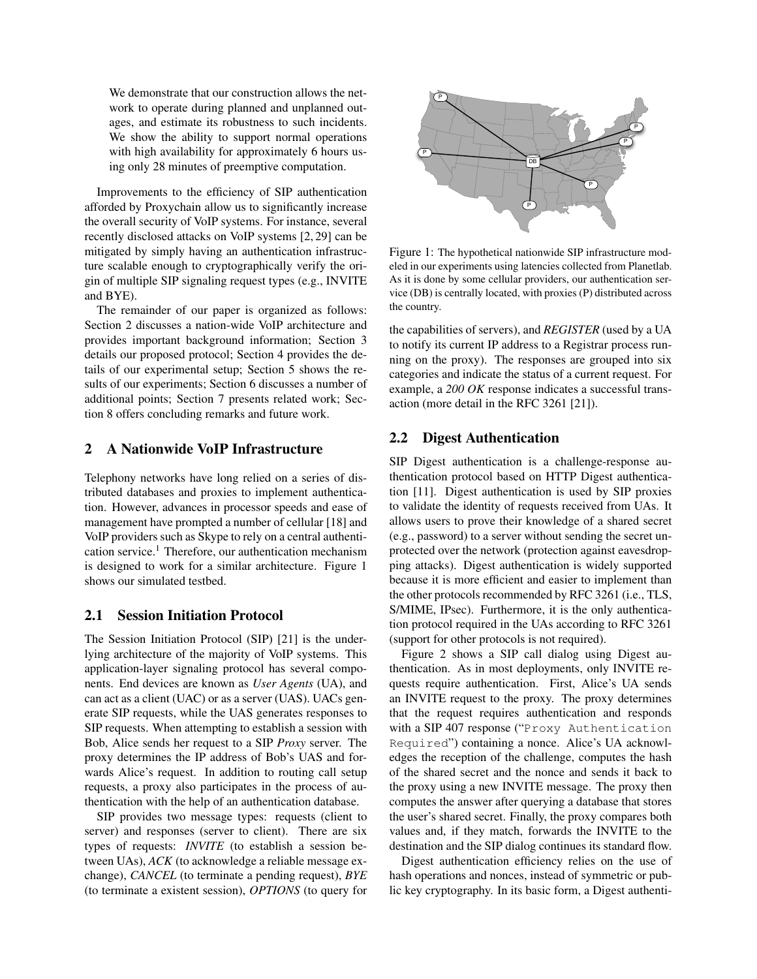We demonstrate that our construction allows the network to operate during planned and unplanned outages, and estimate its robustness to such incidents. We show the ability to support normal operations with high availability for approximately 6 hours using only 28 minutes of preemptive computation.

Improvements to the efficiency of SIP authentication afforded by Proxychain allow us to significantly increase the overall security of VoIP systems. For instance, several recently disclosed attacks on VoIP systems [2, 29] can be mitigated by simply having an authentication infrastructure scalable enough to cryptographically verify the origin of multiple SIP signaling request types (e.g., INVITE and BYE).

The remainder of our paper is organized as follows: Section 2 discusses a nation-wide VoIP architecture and provides important background information; Section 3 details our proposed protocol; Section 4 provides the details of our experimental setup; Section 5 shows the results of our experiments; Section 6 discusses a number of additional points; Section 7 presents related work; Section 8 offers concluding remarks and future work.

# 2 A Nationwide VoIP Infrastructure

Telephony networks have long relied on a series of distributed databases and proxies to implement authentication. However, advances in processor speeds and ease of management have prompted a number of cellular [18] and VoIP providers such as Skype to rely on a central authentication service.<sup>1</sup> Therefore, our authentication mechanism is designed to work for a similar architecture. Figure 1 shows our simulated testbed.

#### 2.1 Session Initiation Protocol

The Session Initiation Protocol (SIP) [21] is the underlying architecture of the majority of VoIP systems. This application-layer signaling protocol has several components. End devices are known as *User Agents* (UA), and can act as a client (UAC) or as a server (UAS). UACs generate SIP requests, while the UAS generates responses to SIP requests. When attempting to establish a session with Bob, Alice sends her request to a SIP *Proxy* server. The proxy determines the IP address of Bob's UAS and forwards Alice's request. In addition to routing call setup requests, a proxy also participates in the process of authentication with the help of an authentication database.

SIP provides two message types: requests (client to server) and responses (server to client). There are six types of requests: *INVITE* (to establish a session between UAs), *ACK* (to acknowledge a reliable message exchange), *CANCEL* (to terminate a pending request), *BYE* (to terminate a existent session), *OPTIONS* (to query for



Figure 1: The hypothetical nationwide SIP infrastructure modeled in our experiments using latencies collected from Planetlab. As it is done by some cellular providers, our authentication service (DB) is centrally located, with proxies (P) distributed across the country.

the capabilities of servers), and *REGISTER* (used by a UA to notify its current IP address to a Registrar process running on the proxy). The responses are grouped into six categories and indicate the status of a current request. For example, a *200 OK* response indicates a successful transaction (more detail in the RFC 3261 [21]).

## 2.2 Digest Authentication

SIP Digest authentication is a challenge-response authentication protocol based on HTTP Digest authentication [11]. Digest authentication is used by SIP proxies to validate the identity of requests received from UAs. It allows users to prove their knowledge of a shared secret (e.g., password) to a server without sending the secret unprotected over the network (protection against eavesdropping attacks). Digest authentication is widely supported because it is more efficient and easier to implement than the other protocols recommended by RFC 3261 (i.e., TLS, S/MIME, IPsec). Furthermore, it is the only authentication protocol required in the UAs according to RFC 3261 (support for other protocols is not required).

Figure 2 shows a SIP call dialog using Digest authentication. As in most deployments, only INVITE requests require authentication. First, Alice's UA sends an INVITE request to the proxy. The proxy determines that the request requires authentication and responds with a SIP 407 response ("Proxy Authentication Required") containing a nonce. Alice's UA acknowledges the reception of the challenge, computes the hash of the shared secret and the nonce and sends it back to the proxy using a new INVITE message. The proxy then computes the answer after querying a database that stores the user's shared secret. Finally, the proxy compares both values and, if they match, forwards the INVITE to the destination and the SIP dialog continues its standard flow.

Digest authentication efficiency relies on the use of hash operations and nonces, instead of symmetric or public key cryptography. In its basic form, a Digest authenti-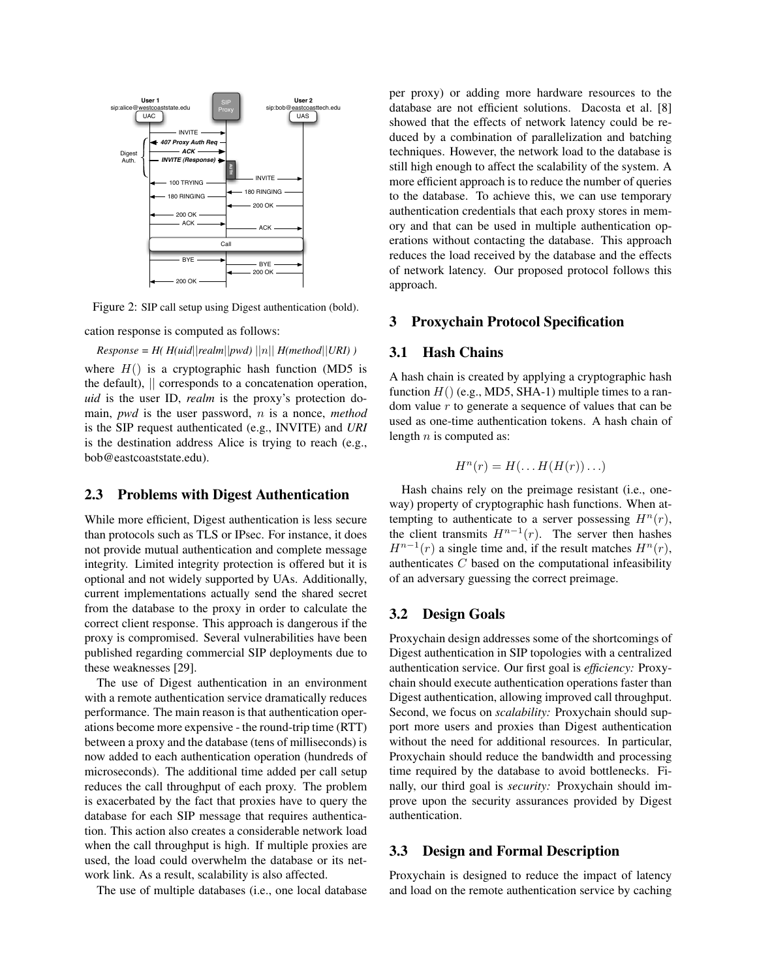

Figure 2: SIP call setup using Digest authentication (bold).

cation response is computed as follows:

 $Response = H(Huid|| realm||pwd)||n|| H(method||URI)$ where  $H()$  is a cryptographic hash function (MD5 is the default), || corresponds to a concatenation operation, *uid* is the user ID, *realm* is the proxy's protection domain, *pwd* is the user password, n is a nonce, *method* is the SIP request authenticated (e.g., INVITE) and *URI* is the destination address Alice is trying to reach (e.g., bob@eastcoaststate.edu).

## 2.3 Problems with Digest Authentication

While more efficient, Digest authentication is less secure than protocols such as TLS or IPsec. For instance, it does not provide mutual authentication and complete message integrity. Limited integrity protection is offered but it is optional and not widely supported by UAs. Additionally, current implementations actually send the shared secret from the database to the proxy in order to calculate the correct client response. This approach is dangerous if the proxy is compromised. Several vulnerabilities have been published regarding commercial SIP deployments due to these weaknesses [29].

The use of Digest authentication in an environment with a remote authentication service dramatically reduces performance. The main reason is that authentication operations become more expensive - the round-trip time (RTT) between a proxy and the database (tens of milliseconds) is now added to each authentication operation (hundreds of microseconds). The additional time added per call setup reduces the call throughput of each proxy. The problem is exacerbated by the fact that proxies have to query the database for each SIP message that requires authentication. This action also creates a considerable network load when the call throughput is high. If multiple proxies are used, the load could overwhelm the database or its network link. As a result, scalability is also affected.

The use of multiple databases (i.e., one local database

per proxy) or adding more hardware resources to the database are not efficient solutions. Dacosta et al. [8] showed that the effects of network latency could be reduced by a combination of parallelization and batching techniques. However, the network load to the database is still high enough to affect the scalability of the system. A more efficient approach is to reduce the number of queries to the database. To achieve this, we can use temporary authentication credentials that each proxy stores in memory and that can be used in multiple authentication operations without contacting the database. This approach reduces the load received by the database and the effects of network latency. Our proposed protocol follows this approach.

## 3 Proxychain Protocol Specification

#### 3.1 Hash Chains

A hash chain is created by applying a cryptographic hash function  $H()$  (e.g., MD5, SHA-1) multiple times to a random value  $r$  to generate a sequence of values that can be used as one-time authentication tokens. A hash chain of length  $n$  is computed as:

$$
H^n(r) = H(\ldots H(H(r))\ldots)
$$

Hash chains rely on the preimage resistant (i.e., oneway) property of cryptographic hash functions. When attempting to authenticate to a server possessing  $H^{n}(r)$ , the client transmits  $H^{n-1}(r)$ . The server then hashes  $H^{n-1}(r)$  a single time and, if the result matches  $H^{n}(r)$ , authenticates C based on the computational infeasibility of an adversary guessing the correct preimage.

#### 3.2 Design Goals

Proxychain design addresses some of the shortcomings of Digest authentication in SIP topologies with a centralized authentication service. Our first goal is *efficiency:* Proxychain should execute authentication operations faster than Digest authentication, allowing improved call throughput. Second, we focus on *scalability:* Proxychain should support more users and proxies than Digest authentication without the need for additional resources. In particular, Proxychain should reduce the bandwidth and processing time required by the database to avoid bottlenecks. Finally, our third goal is *security:* Proxychain should improve upon the security assurances provided by Digest authentication.

## 3.3 Design and Formal Description

Proxychain is designed to reduce the impact of latency and load on the remote authentication service by caching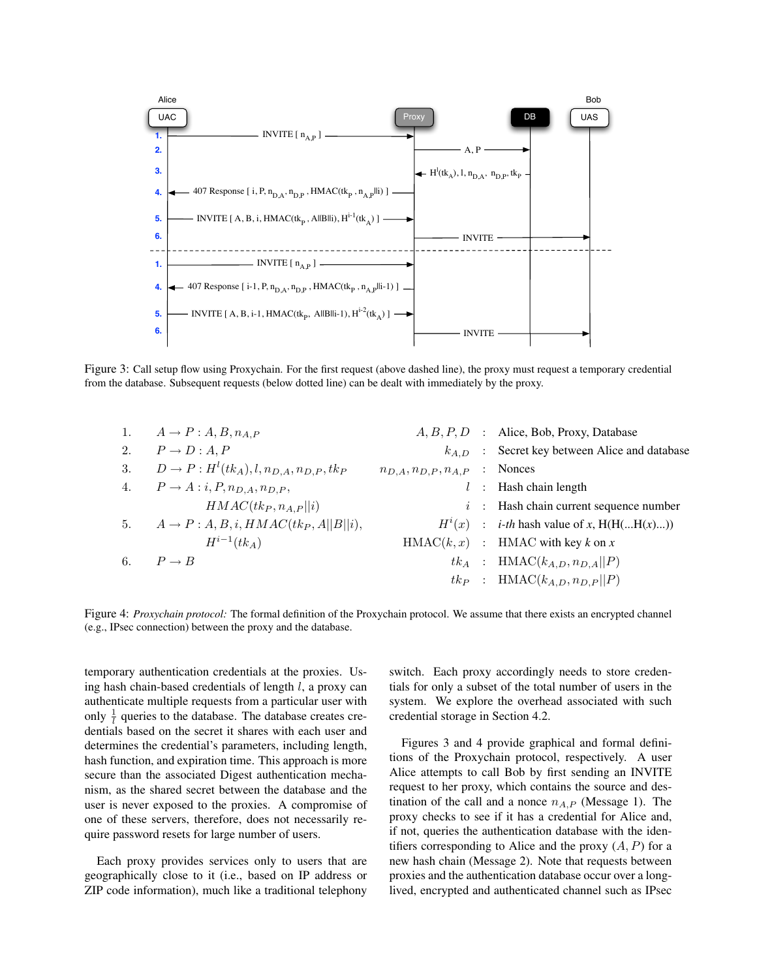

Figure 3: Call setup flow using Proxychain. For the first request (above dashed line), the proxy must request a temporary credential from the database. Subsequent requests (below dotted line) can be dealt with immediately by the proxy.

|    | $A \rightarrow P : A, B, n_{A,P}$                        |                                      | $A, B, P, D$ : Alice, Bob, Proxy, Database           |
|----|----------------------------------------------------------|--------------------------------------|------------------------------------------------------|
| 2. | $P \rightarrow D : A, P$                                 |                                      | $k_{A,D}$ : Secret key between Alice and database    |
| 3. | $D \rightarrow P : H^l(tk_A), l, n_{D,A}, n_{D,P}, tk_P$ | $n_{D,A}, n_{D,P}, n_{A,P}$ : Nonces |                                                      |
| 4. | $P \rightarrow A: i, P, n_{D,A}, n_{D,P},$               |                                      | $l$ : Hash chain length                              |
|    | $HMAC(tk_P, n_{A,P}  i)$                                 |                                      | $i$ : Hash chain current sequence number             |
|    | 5. $A \rightarrow P : A, B, i, HMAC(tkp, A  B  i),$      |                                      | $H^{i}(x)$ : <i>i-th</i> hash value of x, H(H(H(x))) |
|    | $H^{i-1}(tk_A)$                                          |                                      | $HMAC(k, x)$ : HMAC with key k on x                  |
| 6. | $P \rightarrow B$                                        |                                      | $tk_A$ : HMAC $(k_{A,D}, n_{D,A}    P)$              |
|    |                                                          |                                      | $tk_P$ : HMAC( $k_{A,D}, n_{D,P}$   P)               |
|    |                                                          |                                      |                                                      |

Figure 4: *Proxychain protocol:* The formal definition of the Proxychain protocol. We assume that there exists an encrypted channel (e.g., IPsec connection) between the proxy and the database.

temporary authentication credentials at the proxies. Using hash chain-based credentials of length  $l$ , a proxy can authenticate multiple requests from a particular user with only  $\frac{1}{l}$  queries to the database. The database creates credentials based on the secret it shares with each user and determines the credential's parameters, including length, hash function, and expiration time. This approach is more secure than the associated Digest authentication mechanism, as the shared secret between the database and the user is never exposed to the proxies. A compromise of one of these servers, therefore, does not necessarily require password resets for large number of users.

Each proxy provides services only to users that are geographically close to it (i.e., based on IP address or ZIP code information), much like a traditional telephony switch. Each proxy accordingly needs to store credentials for only a subset of the total number of users in the system. We explore the overhead associated with such credential storage in Section 4.2.

Figures 3 and 4 provide graphical and formal definitions of the Proxychain protocol, respectively. A user Alice attempts to call Bob by first sending an INVITE request to her proxy, which contains the source and destination of the call and a nonce  $n_{A,P}$  (Message 1). The proxy checks to see if it has a credential for Alice and, if not, queries the authentication database with the identifiers corresponding to Alice and the proxy  $(A, P)$  for a new hash chain (Message 2). Note that requests between proxies and the authentication database occur over a longlived, encrypted and authenticated channel such as IPsec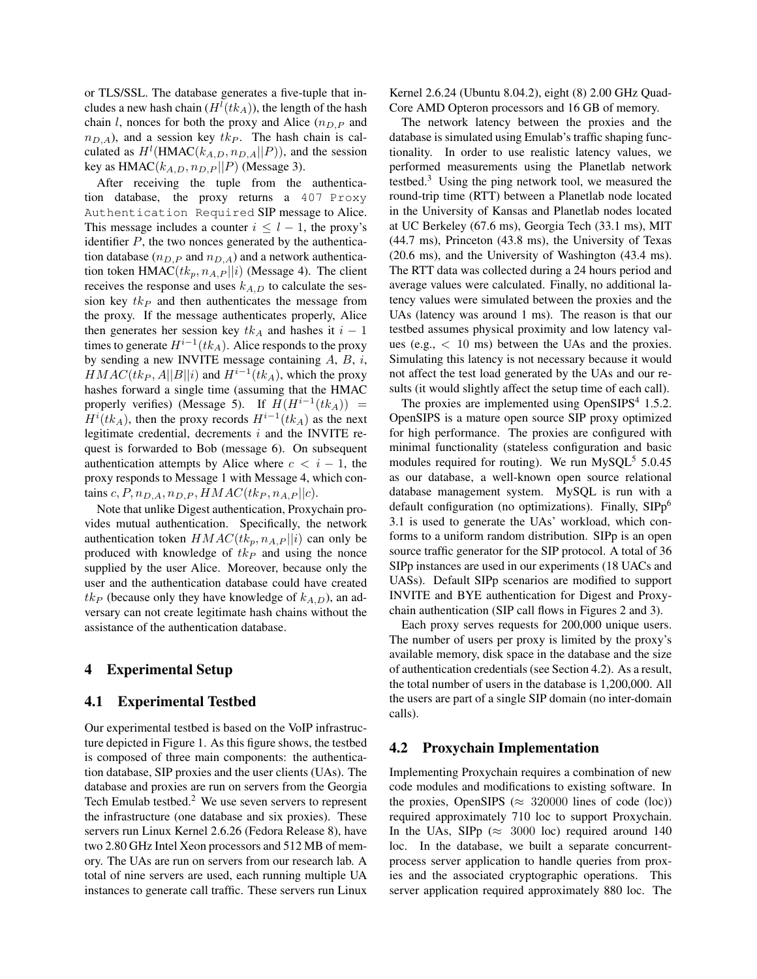or TLS/SSL. The database generates a five-tuple that includes a new hash chain  $(H^l(t k_A))$ , the length of the hash chain l, nonces for both the proxy and Alice  $(n_{D,P}$  and  $n_{D,A}$ ), and a session key  $tk_P$ . The hash chain is calculated as  $H^l$ (HMAC( $k_{A,D}, n_{D,A} || P$ )), and the session key as  $HMAC(k_{A,D}, n_{D,P} || P)$  (Message 3).

After receiving the tuple from the authentication database, the proxy returns a 407 Proxy Authentication Required SIP message to Alice. This message includes a counter  $i \leq l - 1$ , the proxy's identifier  $P$ , the two nonces generated by the authentication database ( $n_{D,P}$  and  $n_{D,A}$ ) and a network authentication token HMAC( $tk_p, n_{A,P} || i$ ) (Message 4). The client receives the response and uses  $k_{A,D}$  to calculate the session key  $tk_P$  and then authenticates the message from the proxy. If the message authenticates properly, Alice then generates her session key  $tk_A$  and hashes it  $i - 1$ times to generate  $H^{i-1}(tk_A)$ . Alice responds to the proxy by sending a new INVITE message containing A, B, i,  $HMAC(tk_P, A||B||i)$  and  $H^{i-1}(tk_A)$ , which the proxy hashes forward a single time (assuming that the HMAC properly verifies) (Message 5). If  $H(H^{i-1}(tk<sub>A</sub>)))$  =  $H^{i}(tk_{A})$ , then the proxy records  $H^{i-1}(tk_{A})$  as the next legitimate credential, decrements  $i$  and the INVITE request is forwarded to Bob (message 6). On subsequent authentication attempts by Alice where  $c < i - 1$ , the proxy responds to Message 1 with Message 4, which contains  $c, P, n_{D,A}, n_{D,P}, HMAC(t_{kP}, n_{A,P} || c)$ .

Note that unlike Digest authentication, Proxychain provides mutual authentication. Specifically, the network authentication token  $HMAC(t_k, n_{A,P} || i)$  can only be produced with knowledge of  $tk_P$  and using the nonce supplied by the user Alice. Moreover, because only the user and the authentication database could have created  $tk_P$  (because only they have knowledge of  $k_{A,D}$ ), an adversary can not create legitimate hash chains without the assistance of the authentication database.

#### 4 Experimental Setup

#### 4.1 Experimental Testbed

Our experimental testbed is based on the VoIP infrastructure depicted in Figure 1. As this figure shows, the testbed is composed of three main components: the authentication database, SIP proxies and the user clients (UAs). The database and proxies are run on servers from the Georgia Tech Emulab testbed.<sup>2</sup> We use seven servers to represent the infrastructure (one database and six proxies). These servers run Linux Kernel 2.6.26 (Fedora Release 8), have two 2.80 GHz Intel Xeon processors and 512 MB of memory. The UAs are run on servers from our research lab. A total of nine servers are used, each running multiple UA instances to generate call traffic. These servers run Linux Kernel 2.6.24 (Ubuntu 8.04.2), eight (8) 2.00 GHz Quad-Core AMD Opteron processors and 16 GB of memory.

The network latency between the proxies and the database is simulated using Emulab's traffic shaping functionality. In order to use realistic latency values, we performed measurements using the Planetlab network testbed. $3$  Using the ping network tool, we measured the round-trip time (RTT) between a Planetlab node located in the University of Kansas and Planetlab nodes located at UC Berkeley (67.6 ms), Georgia Tech (33.1 ms), MIT (44.7 ms), Princeton (43.8 ms), the University of Texas (20.6 ms), and the University of Washington (43.4 ms). The RTT data was collected during a 24 hours period and average values were calculated. Finally, no additional latency values were simulated between the proxies and the UAs (latency was around 1 ms). The reason is that our testbed assumes physical proximity and low latency values (e.g.,  $\langle 10 \text{ ms} \rangle$  between the UAs and the proxies. Simulating this latency is not necessary because it would not affect the test load generated by the UAs and our results (it would slightly affect the setup time of each call).

The proxies are implemented using OpenSIPS $4$  1.5.2. OpenSIPS is a mature open source SIP proxy optimized for high performance. The proxies are configured with minimal functionality (stateless configuration and basic modules required for routing). We run  $MySQL^5$  5.0.45 as our database, a well-known open source relational database management system. MySQL is run with a default configuration (no optimizations). Finally, SIPp<sup>6</sup> 3.1 is used to generate the UAs' workload, which conforms to a uniform random distribution. SIPp is an open source traffic generator for the SIP protocol. A total of 36 SIPp instances are used in our experiments (18 UACs and UASs). Default SIPp scenarios are modified to support INVITE and BYE authentication for Digest and Proxychain authentication (SIP call flows in Figures 2 and 3).

Each proxy serves requests for 200,000 unique users. The number of users per proxy is limited by the proxy's available memory, disk space in the database and the size of authentication credentials (see Section 4.2). As a result, the total number of users in the database is 1,200,000. All the users are part of a single SIP domain (no inter-domain calls).

#### 4.2 Proxychain Implementation

Implementing Proxychain requires a combination of new code modules and modifications to existing software. In the proxies, OpenSIPS ( $\approx$  320000 lines of code (loc)) required approximately 710 loc to support Proxychain. In the UAs, SIPp ( $\approx$  3000 loc) required around 140 loc. In the database, we built a separate concurrentprocess server application to handle queries from proxies and the associated cryptographic operations. This server application required approximately 880 loc. The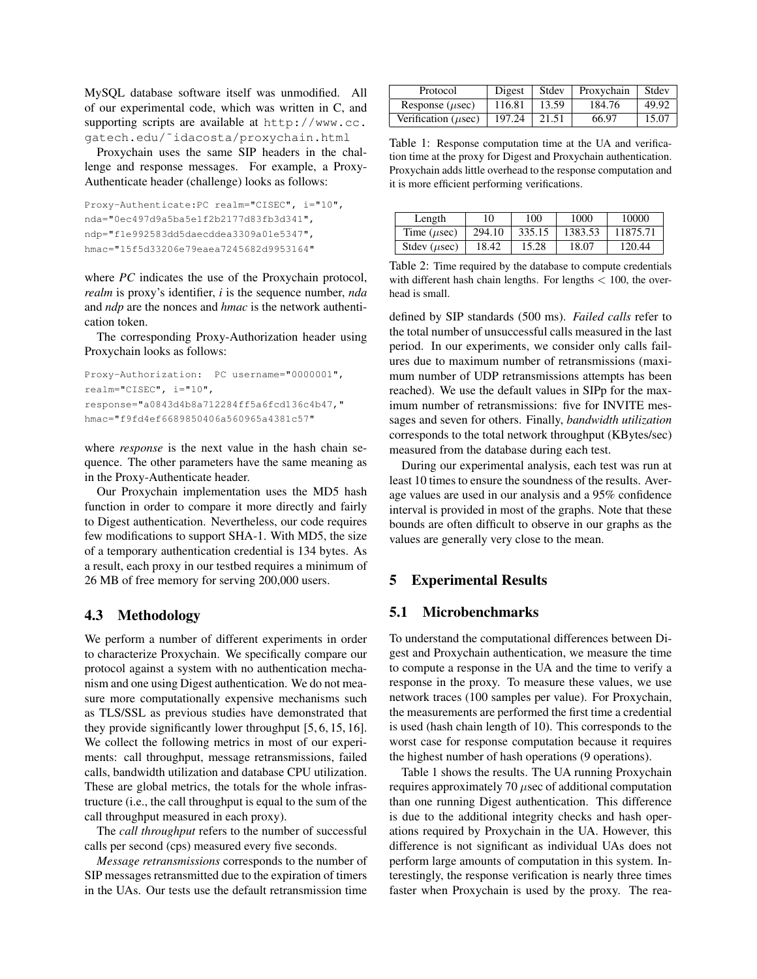MySQL database software itself was unmodified. All of our experimental code, which was written in C, and supporting scripts are available at http://www.cc. gatech.edu/˜idacosta/proxychain.html

Proxychain uses the same SIP headers in the challenge and response messages. For example, a Proxy-Authenticate header (challenge) looks as follows:

```
Proxy-Authenticate:PC realm="CISEC", i="10",
nda="0ec497d9a5ba5e1f2b2177d83fb3d341",
ndp="f1e992583dd5daecddea3309a01e5347",
hmac="15f5d33206e79eaea7245682d9953164"
```
where *PC* indicates the use of the Proxychain protocol, *realm* is proxy's identifier, *i* is the sequence number, *nda* and *ndp* are the nonces and *hmac* is the network authentication token.

The corresponding Proxy-Authorization header using Proxychain looks as follows:

```
Proxy-Authorization: PC username="0000001",
realm="CISEC", i="10",
response="a0843d4b8a712284ff5a6fcd136c4b47,"
hmac="f9fd4ef6689850406a560965a4381c57"
```
where *response* is the next value in the hash chain sequence. The other parameters have the same meaning as in the Proxy-Authenticate header.

Our Proxychain implementation uses the MD5 hash function in order to compare it more directly and fairly to Digest authentication. Nevertheless, our code requires few modifications to support SHA-1. With MD5, the size of a temporary authentication credential is 134 bytes. As a result, each proxy in our testbed requires a minimum of 26 MB of free memory for serving 200,000 users.

## 4.3 Methodology

We perform a number of different experiments in order to characterize Proxychain. We specifically compare our protocol against a system with no authentication mechanism and one using Digest authentication. We do not measure more computationally expensive mechanisms such as TLS/SSL as previous studies have demonstrated that they provide significantly lower throughput [5, 6, 15, 16]. We collect the following metrics in most of our experiments: call throughput, message retransmissions, failed calls, bandwidth utilization and database CPU utilization. These are global metrics, the totals for the whole infrastructure (i.e., the call throughput is equal to the sum of the call throughput measured in each proxy).

The *call throughput* refers to the number of successful calls per second (cps) measured every five seconds.

*Message retransmissions* corresponds to the number of SIP messages retransmitted due to the expiration of timers in the UAs. Our tests use the default retransmission time

| Protocol                  | Digest | Stdev | Proxychain | Stdev |
|---------------------------|--------|-------|------------|-------|
| Response $(\mu \sec)$     | 116.81 | 13.59 | 184.76     | 49.92 |
| Verification ( $\mu$ sec) | 197.24 | 21.51 | 66.97      | 15.07 |

Table 1: Response computation time at the UA and verification time at the proxy for Digest and Proxychain authentication. Proxychain adds little overhead to the response computation and it is more efficient performing verifications.

| Length                  | 10     | 100    | 1000    | 10000    |
|-------------------------|--------|--------|---------|----------|
| Time $(\mu \text{sec})$ | 294.10 | 335.15 | 1383.53 | 11875.71 |
| Stdev $(\mu \sec)$      | 18.42  | 15.28  | 18.07   | 120.44   |

Table 2: Time required by the database to compute credentials with different hash chain lengths. For lengths  $< 100$ , the overhead is small.

defined by SIP standards (500 ms). *Failed calls* refer to the total number of unsuccessful calls measured in the last period. In our experiments, we consider only calls failures due to maximum number of retransmissions (maximum number of UDP retransmissions attempts has been reached). We use the default values in SIPp for the maximum number of retransmissions: five for INVITE messages and seven for others. Finally, *bandwidth utilization* corresponds to the total network throughput (KBytes/sec) measured from the database during each test.

During our experimental analysis, each test was run at least 10 times to ensure the soundness of the results. Average values are used in our analysis and a 95% confidence interval is provided in most of the graphs. Note that these bounds are often difficult to observe in our graphs as the values are generally very close to the mean.

# 5 Experimental Results

## 5.1 Microbenchmarks

To understand the computational differences between Digest and Proxychain authentication, we measure the time to compute a response in the UA and the time to verify a response in the proxy. To measure these values, we use network traces (100 samples per value). For Proxychain, the measurements are performed the first time a credential is used (hash chain length of 10). This corresponds to the worst case for response computation because it requires the highest number of hash operations (9 operations).

Table 1 shows the results. The UA running Proxychain requires approximately 70  $\mu$ sec of additional computation than one running Digest authentication. This difference is due to the additional integrity checks and hash operations required by Proxychain in the UA. However, this difference is not significant as individual UAs does not perform large amounts of computation in this system. Interestingly, the response verification is nearly three times faster when Proxychain is used by the proxy. The rea-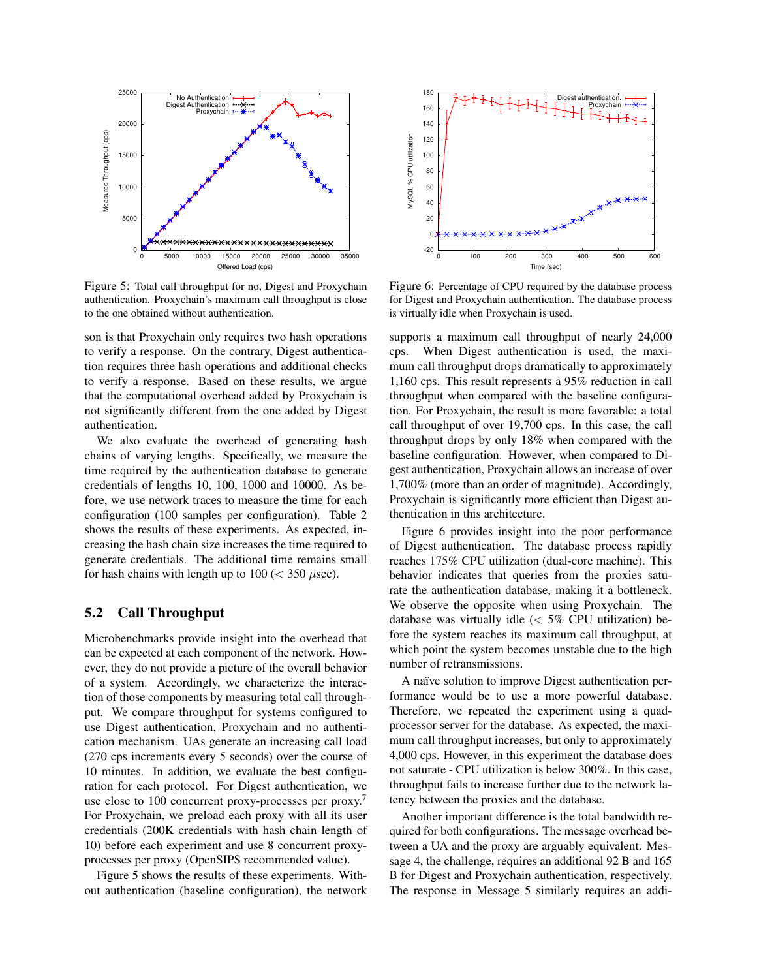

Figure 5: Total call throughput for no, Digest and Proxychain authentication. Proxychain's maximum call throughput is close to the one obtained without authentication.

son is that Proxychain only requires two hash operations to verify a response. On the contrary, Digest authentication requires three hash operations and additional checks to verify a response. Based on these results, we argue that the computational overhead added by Proxychain is not significantly different from the one added by Digest authentication.

We also evaluate the overhead of generating hash chains of varying lengths. Specifically, we measure the time required by the authentication database to generate credentials of lengths 10, 100, 1000 and 10000. As before, we use network traces to measure the time for each configuration (100 samples per configuration). Table 2 shows the results of these experiments. As expected, increasing the hash chain size increases the time required to generate credentials. The additional time remains small for hash chains with length up to  $100 \, (< 350 \,\mu \text{sec})$ .

#### 5.2 Call Throughput

Microbenchmarks provide insight into the overhead that can be expected at each component of the network. However, they do not provide a picture of the overall behavior of a system. Accordingly, we characterize the interaction of those components by measuring total call throughput. We compare throughput for systems configured to use Digest authentication, Proxychain and no authentication mechanism. UAs generate an increasing call load (270 cps increments every 5 seconds) over the course of 10 minutes. In addition, we evaluate the best configuration for each protocol. For Digest authentication, we use close to 100 concurrent proxy-processes per proxy.<sup>7</sup> For Proxychain, we preload each proxy with all its user credentials (200K credentials with hash chain length of 10) before each experiment and use 8 concurrent proxyprocesses per proxy (OpenSIPS recommended value).

Figure 5 shows the results of these experiments. Without authentication (baseline configuration), the network



Figure 6: Percentage of CPU required by the database process for Digest and Proxychain authentication. The database process is virtually idle when Proxychain is used.

supports a maximum call throughput of nearly 24,000 cps. When Digest authentication is used, the maximum call throughput drops dramatically to approximately 1,160 cps. This result represents a 95% reduction in call throughput when compared with the baseline configuration. For Proxychain, the result is more favorable: a total call throughput of over 19,700 cps. In this case, the call throughput drops by only 18% when compared with the baseline configuration. However, when compared to Digest authentication, Proxychain allows an increase of over 1,700% (more than an order of magnitude). Accordingly, Proxychain is significantly more efficient than Digest authentication in this architecture.

Figure 6 provides insight into the poor performance of Digest authentication. The database process rapidly reaches 175% CPU utilization (dual-core machine). This behavior indicates that queries from the proxies saturate the authentication database, making it a bottleneck. We observe the opposite when using Proxychain. The database was virtually idle  $\langle \langle 5\% \rangle$  CPU utilization) before the system reaches its maximum call throughput, at which point the system becomes unstable due to the high number of retransmissions.

A naïve solution to improve Digest authentication performance would be to use a more powerful database. Therefore, we repeated the experiment using a quadprocessor server for the database. As expected, the maximum call throughput increases, but only to approximately 4,000 cps. However, in this experiment the database does not saturate - CPU utilization is below 300%. In this case, throughput fails to increase further due to the network latency between the proxies and the database.

Another important difference is the total bandwidth required for both configurations. The message overhead between a UA and the proxy are arguably equivalent. Message 4, the challenge, requires an additional 92 B and 165 B for Digest and Proxychain authentication, respectively. The response in Message 5 similarly requires an addi-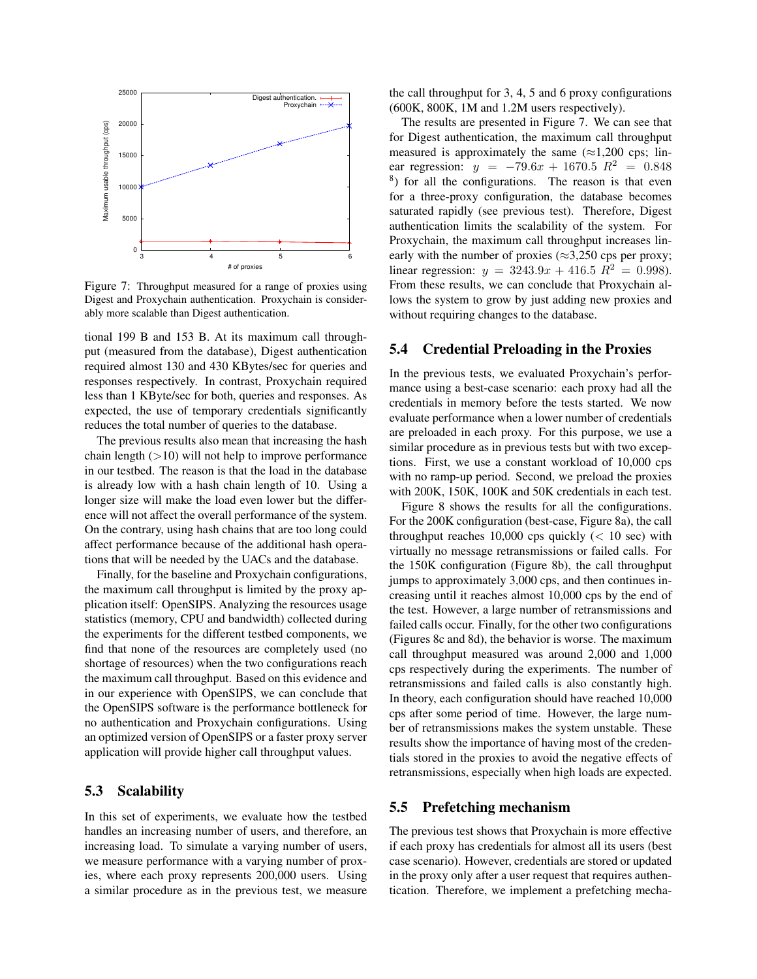

Figure 7: Throughput measured for a range of proxies using Digest and Proxychain authentication. Proxychain is considerably more scalable than Digest authentication.

tional 199 B and 153 B. At its maximum call throughput (measured from the database), Digest authentication required almost 130 and 430 KBytes/sec for queries and responses respectively. In contrast, Proxychain required less than 1 KByte/sec for both, queries and responses. As expected, the use of temporary credentials significantly reduces the total number of queries to the database.

The previous results also mean that increasing the hash chain length  $(>10)$  will not help to improve performance in our testbed. The reason is that the load in the database is already low with a hash chain length of 10. Using a longer size will make the load even lower but the difference will not affect the overall performance of the system. On the contrary, using hash chains that are too long could affect performance because of the additional hash operations that will be needed by the UACs and the database.

Finally, for the baseline and Proxychain configurations, the maximum call throughput is limited by the proxy application itself: OpenSIPS. Analyzing the resources usage statistics (memory, CPU and bandwidth) collected during the experiments for the different testbed components, we find that none of the resources are completely used (no shortage of resources) when the two configurations reach the maximum call throughput. Based on this evidence and in our experience with OpenSIPS, we can conclude that the OpenSIPS software is the performance bottleneck for no authentication and Proxychain configurations. Using an optimized version of OpenSIPS or a faster proxy server application will provide higher call throughput values.

## 5.3 Scalability

In this set of experiments, we evaluate how the testbed handles an increasing number of users, and therefore, an increasing load. To simulate a varying number of users, we measure performance with a varying number of proxies, where each proxy represents 200,000 users. Using a similar procedure as in the previous test, we measure the call throughput for 3, 4, 5 and 6 proxy configurations (600K, 800K, 1M and 1.2M users respectively).

The results are presented in Figure 7. We can see that for Digest authentication, the maximum call throughput measured is approximately the same  $(\approx 1,200 \text{ cps})$ ; linear regression:  $y = -79.6x + 1670.5 R^2 = 0.848$ <sup>8</sup>) for all the configurations. The reason is that even for a three-proxy configuration, the database becomes saturated rapidly (see previous test). Therefore, Digest authentication limits the scalability of the system. For Proxychain, the maximum call throughput increases linearly with the number of proxies ( $\approx$ 3,250 cps per proxy; linear regression:  $y = 3243.9x + 416.5 R^2 = 0.998$ . From these results, we can conclude that Proxychain allows the system to grow by just adding new proxies and without requiring changes to the database.

## 5.4 Credential Preloading in the Proxies

In the previous tests, we evaluated Proxychain's performance using a best-case scenario: each proxy had all the credentials in memory before the tests started. We now evaluate performance when a lower number of credentials are preloaded in each proxy. For this purpose, we use a similar procedure as in previous tests but with two exceptions. First, we use a constant workload of 10,000 cps with no ramp-up period. Second, we preload the proxies with 200K, 150K, 100K and 50K credentials in each test.

Figure 8 shows the results for all the configurations. For the 200K configuration (best-case, Figure 8a), the call throughput reaches  $10,000$  cps quickly (< 10 sec) with virtually no message retransmissions or failed calls. For the 150K configuration (Figure 8b), the call throughput jumps to approximately 3,000 cps, and then continues increasing until it reaches almost 10,000 cps by the end of the test. However, a large number of retransmissions and failed calls occur. Finally, for the other two configurations (Figures 8c and 8d), the behavior is worse. The maximum call throughput measured was around 2,000 and 1,000 cps respectively during the experiments. The number of retransmissions and failed calls is also constantly high. In theory, each configuration should have reached 10,000 cps after some period of time. However, the large number of retransmissions makes the system unstable. These results show the importance of having most of the credentials stored in the proxies to avoid the negative effects of retransmissions, especially when high loads are expected.

#### 5.5 Prefetching mechanism

The previous test shows that Proxychain is more effective if each proxy has credentials for almost all its users (best case scenario). However, credentials are stored or updated in the proxy only after a user request that requires authentication. Therefore, we implement a prefetching mecha-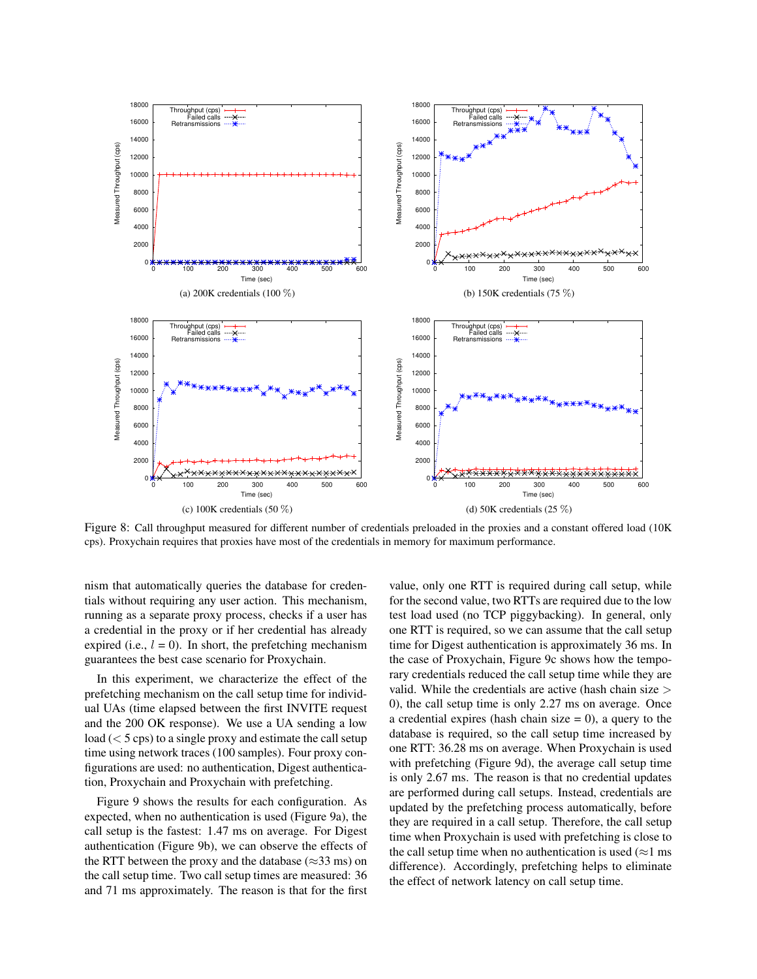

Figure 8: Call throughput measured for different number of credentials preloaded in the proxies and a constant offered load (10K cps). Proxychain requires that proxies have most of the credentials in memory for maximum performance.

nism that automatically queries the database for credentials without requiring any user action. This mechanism, running as a separate proxy process, checks if a user has a credential in the proxy or if her credential has already expired (i.e.,  $l = 0$ ). In short, the prefetching mechanism guarantees the best case scenario for Proxychain.

In this experiment, we characterize the effect of the prefetching mechanism on the call setup time for individual UAs (time elapsed between the first INVITE request and the 200 OK response). We use a UA sending a low load  $(< 5 \text{ cps})$  to a single proxy and estimate the call setup time using network traces (100 samples). Four proxy configurations are used: no authentication, Digest authentication, Proxychain and Proxychain with prefetching.

Figure 9 shows the results for each configuration. As expected, when no authentication is used (Figure 9a), the call setup is the fastest: 1.47 ms on average. For Digest authentication (Figure 9b), we can observe the effects of the RTT between the proxy and the database ( $\approx$ 33 ms) on the call setup time. Two call setup times are measured: 36 and 71 ms approximately. The reason is that for the first value, only one RTT is required during call setup, while for the second value, two RTTs are required due to the low test load used (no TCP piggybacking). In general, only one RTT is required, so we can assume that the call setup time for Digest authentication is approximately 36 ms. In the case of Proxychain, Figure 9c shows how the temporary credentials reduced the call setup time while they are valid. While the credentials are active (hash chain size > 0), the call setup time is only 2.27 ms on average. Once a credential expires (hash chain size  $= 0$ ), a query to the database is required, so the call setup time increased by one RTT: 36.28 ms on average. When Proxychain is used with prefetching (Figure 9d), the average call setup time is only 2.67 ms. The reason is that no credential updates are performed during call setups. Instead, credentials are updated by the prefetching process automatically, before they are required in a call setup. Therefore, the call setup time when Proxychain is used with prefetching is close to the call setup time when no authentication is used ( $\approx$ 1 ms difference). Accordingly, prefetching helps to eliminate the effect of network latency on call setup time.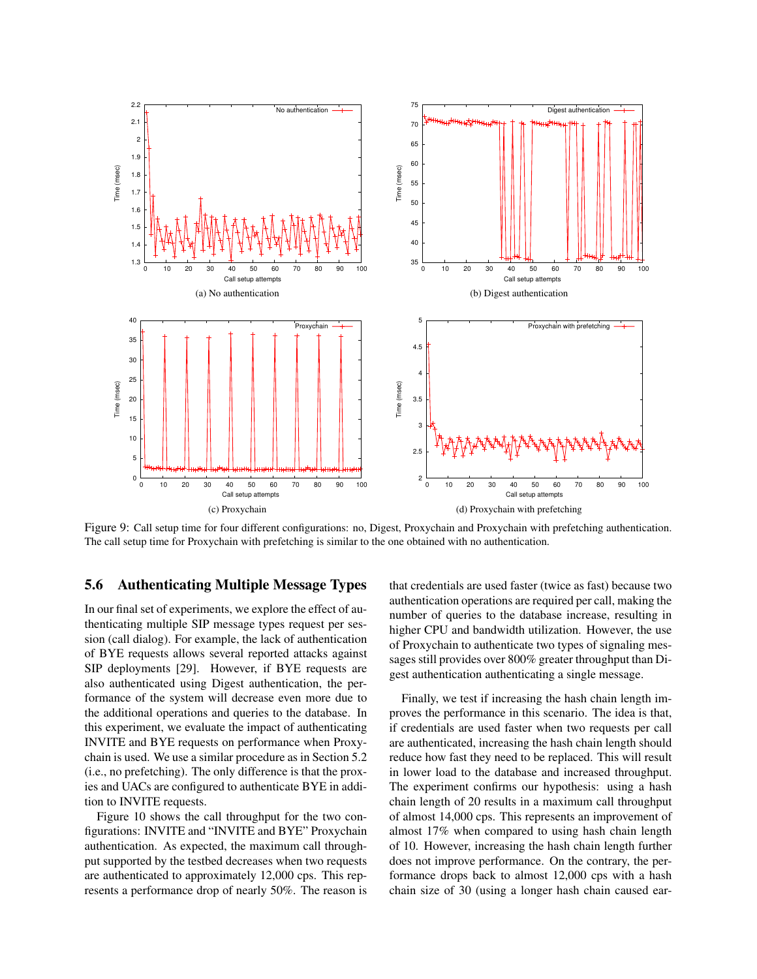

Figure 9: Call setup time for four different configurations: no, Digest, Proxychain and Proxychain with prefetching authentication. The call setup time for Proxychain with prefetching is similar to the one obtained with no authentication.

## 5.6 Authenticating Multiple Message Types

In our final set of experiments, we explore the effect of authenticating multiple SIP message types request per session (call dialog). For example, the lack of authentication of BYE requests allows several reported attacks against SIP deployments [29]. However, if BYE requests are also authenticated using Digest authentication, the performance of the system will decrease even more due to the additional operations and queries to the database. In this experiment, we evaluate the impact of authenticating INVITE and BYE requests on performance when Proxychain is used. We use a similar procedure as in Section 5.2 (i.e., no prefetching). The only difference is that the proxies and UACs are configured to authenticate BYE in addition to INVITE requests.

Figure 10 shows the call throughput for the two configurations: INVITE and "INVITE and BYE" Proxychain authentication. As expected, the maximum call throughput supported by the testbed decreases when two requests are authenticated to approximately 12,000 cps. This represents a performance drop of nearly 50%. The reason is that credentials are used faster (twice as fast) because two authentication operations are required per call, making the number of queries to the database increase, resulting in higher CPU and bandwidth utilization. However, the use of Proxychain to authenticate two types of signaling messages still provides over 800% greater throughput than Digest authentication authenticating a single message.

Finally, we test if increasing the hash chain length improves the performance in this scenario. The idea is that, if credentials are used faster when two requests per call are authenticated, increasing the hash chain length should reduce how fast they need to be replaced. This will result in lower load to the database and increased throughput. The experiment confirms our hypothesis: using a hash chain length of 20 results in a maximum call throughput of almost 14,000 cps. This represents an improvement of almost 17% when compared to using hash chain length of 10. However, increasing the hash chain length further does not improve performance. On the contrary, the performance drops back to almost 12,000 cps with a hash chain size of 30 (using a longer hash chain caused ear-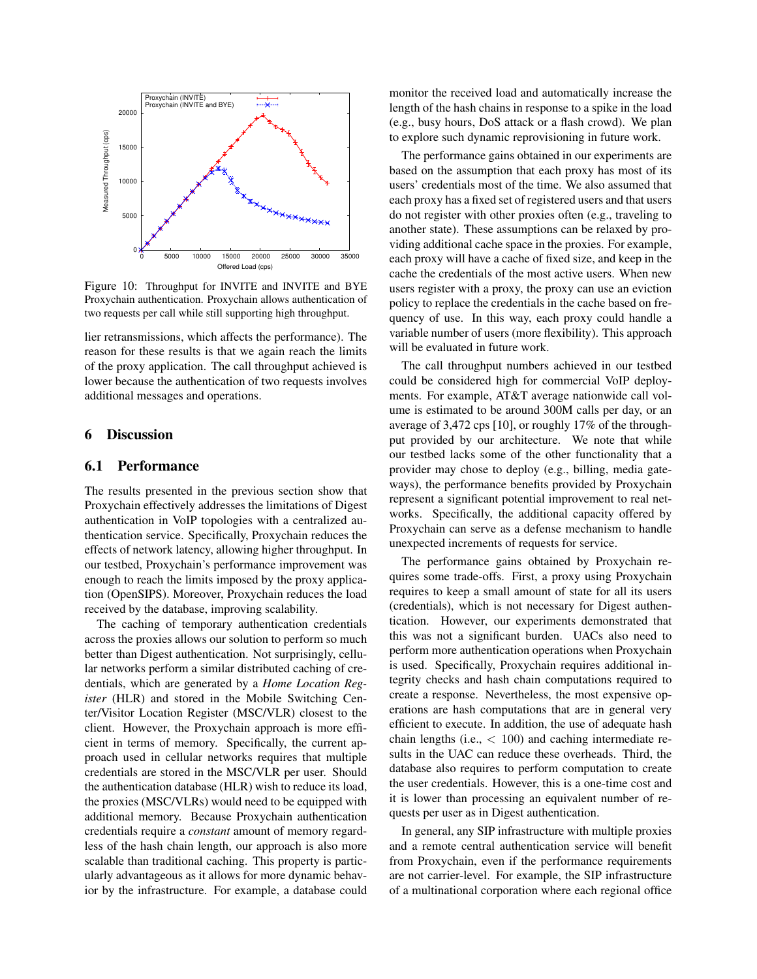

Figure 10: Throughput for INVITE and INVITE and BYE Proxychain authentication. Proxychain allows authentication of two requests per call while still supporting high throughput.

lier retransmissions, which affects the performance). The reason for these results is that we again reach the limits of the proxy application. The call throughput achieved is lower because the authentication of two requests involves additional messages and operations.

## 6 Discussion

#### 6.1 Performance

The results presented in the previous section show that Proxychain effectively addresses the limitations of Digest authentication in VoIP topologies with a centralized authentication service. Specifically, Proxychain reduces the effects of network latency, allowing higher throughput. In our testbed, Proxychain's performance improvement was enough to reach the limits imposed by the proxy application (OpenSIPS). Moreover, Proxychain reduces the load received by the database, improving scalability.

The caching of temporary authentication credentials across the proxies allows our solution to perform so much better than Digest authentication. Not surprisingly, cellular networks perform a similar distributed caching of credentials, which are generated by a *Home Location Register* (HLR) and stored in the Mobile Switching Center/Visitor Location Register (MSC/VLR) closest to the client. However, the Proxychain approach is more efficient in terms of memory. Specifically, the current approach used in cellular networks requires that multiple credentials are stored in the MSC/VLR per user. Should the authentication database (HLR) wish to reduce its load, the proxies (MSC/VLRs) would need to be equipped with additional memory. Because Proxychain authentication credentials require a *constant* amount of memory regardless of the hash chain length, our approach is also more scalable than traditional caching. This property is particularly advantageous as it allows for more dynamic behavior by the infrastructure. For example, a database could monitor the received load and automatically increase the length of the hash chains in response to a spike in the load (e.g., busy hours, DoS attack or a flash crowd). We plan to explore such dynamic reprovisioning in future work.

The performance gains obtained in our experiments are based on the assumption that each proxy has most of its users' credentials most of the time. We also assumed that each proxy has a fixed set of registered users and that users do not register with other proxies often (e.g., traveling to another state). These assumptions can be relaxed by providing additional cache space in the proxies. For example, each proxy will have a cache of fixed size, and keep in the cache the credentials of the most active users. When new users register with a proxy, the proxy can use an eviction policy to replace the credentials in the cache based on frequency of use. In this way, each proxy could handle a variable number of users (more flexibility). This approach will be evaluated in future work.

The call throughput numbers achieved in our testbed could be considered high for commercial VoIP deployments. For example, AT&T average nationwide call volume is estimated to be around 300M calls per day, or an average of 3,472 cps [10], or roughly 17% of the throughput provided by our architecture. We note that while our testbed lacks some of the other functionality that a provider may chose to deploy (e.g., billing, media gateways), the performance benefits provided by Proxychain represent a significant potential improvement to real networks. Specifically, the additional capacity offered by Proxychain can serve as a defense mechanism to handle unexpected increments of requests for service.

The performance gains obtained by Proxychain requires some trade-offs. First, a proxy using Proxychain requires to keep a small amount of state for all its users (credentials), which is not necessary for Digest authentication. However, our experiments demonstrated that this was not a significant burden. UACs also need to perform more authentication operations when Proxychain is used. Specifically, Proxychain requires additional integrity checks and hash chain computations required to create a response. Nevertheless, the most expensive operations are hash computations that are in general very efficient to execute. In addition, the use of adequate hash chain lengths (i.e.,  $< 100$ ) and caching intermediate results in the UAC can reduce these overheads. Third, the database also requires to perform computation to create the user credentials. However, this is a one-time cost and it is lower than processing an equivalent number of requests per user as in Digest authentication.

In general, any SIP infrastructure with multiple proxies and a remote central authentication service will benefit from Proxychain, even if the performance requirements are not carrier-level. For example, the SIP infrastructure of a multinational corporation where each regional office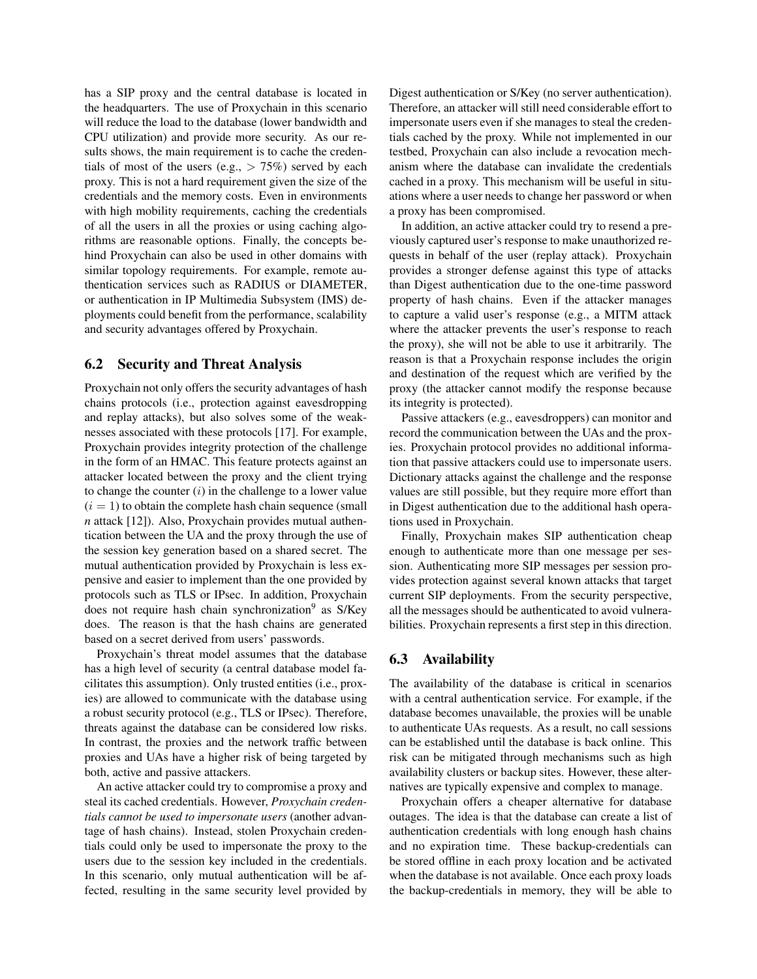has a SIP proxy and the central database is located in the headquarters. The use of Proxychain in this scenario will reduce the load to the database (lower bandwidth and CPU utilization) and provide more security. As our results shows, the main requirement is to cache the credentials of most of the users (e.g.,  $> 75\%$ ) served by each proxy. This is not a hard requirement given the size of the credentials and the memory costs. Even in environments with high mobility requirements, caching the credentials of all the users in all the proxies or using caching algorithms are reasonable options. Finally, the concepts behind Proxychain can also be used in other domains with similar topology requirements. For example, remote authentication services such as RADIUS or DIAMETER, or authentication in IP Multimedia Subsystem (IMS) deployments could benefit from the performance, scalability and security advantages offered by Proxychain.

## 6.2 Security and Threat Analysis

Proxychain not only offers the security advantages of hash chains protocols (i.e., protection against eavesdropping and replay attacks), but also solves some of the weaknesses associated with these protocols [17]. For example, Proxychain provides integrity protection of the challenge in the form of an HMAC. This feature protects against an attacker located between the proxy and the client trying to change the counter  $(i)$  in the challenge to a lower value  $(i = 1)$  to obtain the complete hash chain sequence (small *n* attack [12]). Also, Proxychain provides mutual authentication between the UA and the proxy through the use of the session key generation based on a shared secret. The mutual authentication provided by Proxychain is less expensive and easier to implement than the one provided by protocols such as TLS or IPsec. In addition, Proxychain does not require hash chain synchronization<sup>9</sup> as S/Key does. The reason is that the hash chains are generated based on a secret derived from users' passwords.

Proxychain's threat model assumes that the database has a high level of security (a central database model facilitates this assumption). Only trusted entities (i.e., proxies) are allowed to communicate with the database using a robust security protocol (e.g., TLS or IPsec). Therefore, threats against the database can be considered low risks. In contrast, the proxies and the network traffic between proxies and UAs have a higher risk of being targeted by both, active and passive attackers.

An active attacker could try to compromise a proxy and steal its cached credentials. However, *Proxychain credentials cannot be used to impersonate users* (another advantage of hash chains). Instead, stolen Proxychain credentials could only be used to impersonate the proxy to the users due to the session key included in the credentials. In this scenario, only mutual authentication will be affected, resulting in the same security level provided by Digest authentication or S/Key (no server authentication). Therefore, an attacker will still need considerable effort to impersonate users even if she manages to steal the credentials cached by the proxy. While not implemented in our testbed, Proxychain can also include a revocation mechanism where the database can invalidate the credentials cached in a proxy. This mechanism will be useful in situations where a user needs to change her password or when a proxy has been compromised.

In addition, an active attacker could try to resend a previously captured user's response to make unauthorized requests in behalf of the user (replay attack). Proxychain provides a stronger defense against this type of attacks than Digest authentication due to the one-time password property of hash chains. Even if the attacker manages to capture a valid user's response (e.g., a MITM attack where the attacker prevents the user's response to reach the proxy), she will not be able to use it arbitrarily. The reason is that a Proxychain response includes the origin and destination of the request which are verified by the proxy (the attacker cannot modify the response because its integrity is protected).

Passive attackers (e.g., eavesdroppers) can monitor and record the communication between the UAs and the proxies. Proxychain protocol provides no additional information that passive attackers could use to impersonate users. Dictionary attacks against the challenge and the response values are still possible, but they require more effort than in Digest authentication due to the additional hash operations used in Proxychain.

Finally, Proxychain makes SIP authentication cheap enough to authenticate more than one message per session. Authenticating more SIP messages per session provides protection against several known attacks that target current SIP deployments. From the security perspective, all the messages should be authenticated to avoid vulnerabilities. Proxychain represents a first step in this direction.

# 6.3 Availability

The availability of the database is critical in scenarios with a central authentication service. For example, if the database becomes unavailable, the proxies will be unable to authenticate UAs requests. As a result, no call sessions can be established until the database is back online. This risk can be mitigated through mechanisms such as high availability clusters or backup sites. However, these alternatives are typically expensive and complex to manage.

Proxychain offers a cheaper alternative for database outages. The idea is that the database can create a list of authentication credentials with long enough hash chains and no expiration time. These backup-credentials can be stored offline in each proxy location and be activated when the database is not available. Once each proxy loads the backup-credentials in memory, they will be able to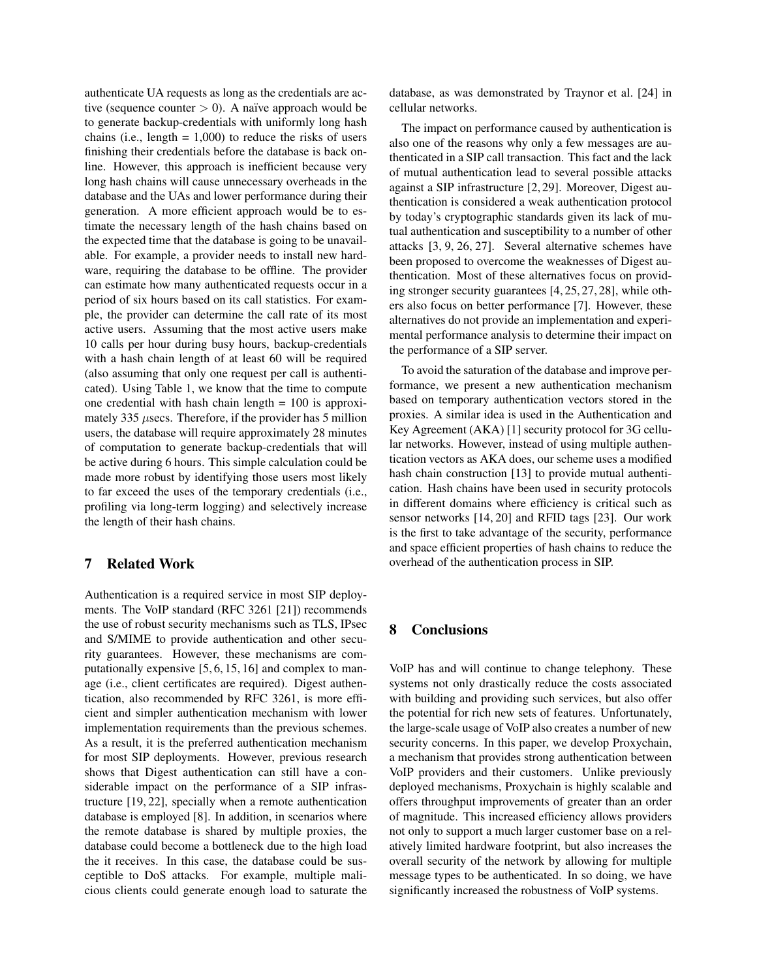authenticate UA requests as long as the credentials are active (sequence counter  $> 0$ ). A naïve approach would be to generate backup-credentials with uniformly long hash chains (i.e., length  $= 1,000$ ) to reduce the risks of users finishing their credentials before the database is back online. However, this approach is inefficient because very long hash chains will cause unnecessary overheads in the database and the UAs and lower performance during their generation. A more efficient approach would be to estimate the necessary length of the hash chains based on the expected time that the database is going to be unavailable. For example, a provider needs to install new hardware, requiring the database to be offline. The provider can estimate how many authenticated requests occur in a period of six hours based on its call statistics. For example, the provider can determine the call rate of its most active users. Assuming that the most active users make 10 calls per hour during busy hours, backup-credentials with a hash chain length of at least 60 will be required (also assuming that only one request per call is authenticated). Using Table 1, we know that the time to compute one credential with hash chain length  $= 100$  is approximately 335  $\mu$ secs. Therefore, if the provider has 5 million users, the database will require approximately 28 minutes of computation to generate backup-credentials that will be active during 6 hours. This simple calculation could be made more robust by identifying those users most likely to far exceed the uses of the temporary credentials (i.e., profiling via long-term logging) and selectively increase the length of their hash chains.

## 7 Related Work

Authentication is a required service in most SIP deployments. The VoIP standard (RFC 3261 [21]) recommends the use of robust security mechanisms such as TLS, IPsec and S/MIME to provide authentication and other security guarantees. However, these mechanisms are computationally expensive [5, 6, 15, 16] and complex to manage (i.e., client certificates are required). Digest authentication, also recommended by RFC 3261, is more efficient and simpler authentication mechanism with lower implementation requirements than the previous schemes. As a result, it is the preferred authentication mechanism for most SIP deployments. However, previous research shows that Digest authentication can still have a considerable impact on the performance of a SIP infrastructure [19, 22], specially when a remote authentication database is employed [8]. In addition, in scenarios where the remote database is shared by multiple proxies, the database could become a bottleneck due to the high load the it receives. In this case, the database could be susceptible to DoS attacks. For example, multiple malicious clients could generate enough load to saturate the database, as was demonstrated by Traynor et al. [24] in cellular networks.

The impact on performance caused by authentication is also one of the reasons why only a few messages are authenticated in a SIP call transaction. This fact and the lack of mutual authentication lead to several possible attacks against a SIP infrastructure [2, 29]. Moreover, Digest authentication is considered a weak authentication protocol by today's cryptographic standards given its lack of mutual authentication and susceptibility to a number of other attacks [3, 9, 26, 27]. Several alternative schemes have been proposed to overcome the weaknesses of Digest authentication. Most of these alternatives focus on providing stronger security guarantees [4, 25, 27, 28], while others also focus on better performance [7]. However, these alternatives do not provide an implementation and experimental performance analysis to determine their impact on the performance of a SIP server.

To avoid the saturation of the database and improve performance, we present a new authentication mechanism based on temporary authentication vectors stored in the proxies. A similar idea is used in the Authentication and Key Agreement (AKA) [1] security protocol for 3G cellular networks. However, instead of using multiple authentication vectors as AKA does, our scheme uses a modified hash chain construction [13] to provide mutual authentication. Hash chains have been used in security protocols in different domains where efficiency is critical such as sensor networks [14, 20] and RFID tags [23]. Our work is the first to take advantage of the security, performance and space efficient properties of hash chains to reduce the overhead of the authentication process in SIP.

## 8 Conclusions

VoIP has and will continue to change telephony. These systems not only drastically reduce the costs associated with building and providing such services, but also offer the potential for rich new sets of features. Unfortunately, the large-scale usage of VoIP also creates a number of new security concerns. In this paper, we develop Proxychain, a mechanism that provides strong authentication between VoIP providers and their customers. Unlike previously deployed mechanisms, Proxychain is highly scalable and offers throughput improvements of greater than an order of magnitude. This increased efficiency allows providers not only to support a much larger customer base on a relatively limited hardware footprint, but also increases the overall security of the network by allowing for multiple message types to be authenticated. In so doing, we have significantly increased the robustness of VoIP systems.